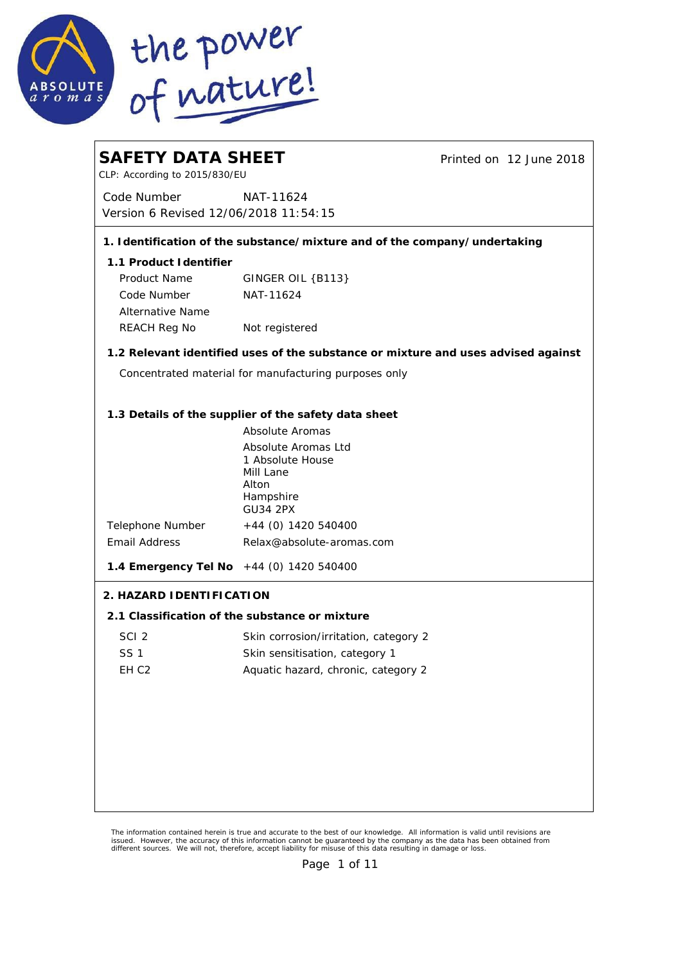

| <b>SAFETY DATA SHEET</b><br>CLP: According to 2015/830/EU |                                                                                   | Printed on 12 June 2018 |
|-----------------------------------------------------------|-----------------------------------------------------------------------------------|-------------------------|
| Code Number<br>Version 6 Revised 12/06/2018 11:54:15      | NAT-11624                                                                         |                         |
|                                                           | 1. I dentification of the substance/mixture and of the company/undertaking        |                         |
| 1.1 Product I dentifier                                   |                                                                                   |                         |
| Product Name                                              | GINGER OIL {B113}                                                                 |                         |
| Code Number                                               | NAT-11624                                                                         |                         |
| Alternative Name                                          |                                                                                   |                         |
| REACH Reg No                                              | Not registered                                                                    |                         |
|                                                           | 1.2 Relevant identified uses of the substance or mixture and uses advised against |                         |
|                                                           | Concentrated material for manufacturing purposes only                             |                         |
|                                                           |                                                                                   |                         |
|                                                           | 1.3 Details of the supplier of the safety data sheet<br>Absolute Aromas           |                         |
|                                                           | Absolute Aromas Ltd                                                               |                         |
|                                                           | 1 Absolute House                                                                  |                         |
|                                                           | Mill Lane<br>Alton                                                                |                         |
|                                                           | Hampshire                                                                         |                         |
| Telephone Number                                          | <b>GU34 2PX</b><br>+44 (0) 1420 540400                                            |                         |
| <b>Email Address</b>                                      | Relax@absolute-aromas.com                                                         |                         |
| 1.4 Emergency Tel No +44 (0) 1420 540400                  |                                                                                   |                         |
| 2. HAZARD I DENTI FI CATION                               |                                                                                   |                         |
|                                                           | 2.1 Classification of the substance or mixture                                    |                         |
| SCI <sub>2</sub>                                          | Skin corrosion/irritation, category 2                                             |                         |
| SS <sub>1</sub>                                           | Skin sensitisation, category 1                                                    |                         |
| EH <sub>C2</sub>                                          | Aquatic hazard, chronic, category 2                                               |                         |
|                                                           |                                                                                   |                         |
|                                                           |                                                                                   |                         |
|                                                           |                                                                                   |                         |
|                                                           |                                                                                   |                         |
|                                                           |                                                                                   |                         |
|                                                           |                                                                                   |                         |
|                                                           |                                                                                   |                         |

The information contained herein is true and accurate to the best of our knowledge. All information is valid until revisions are<br>issued. However, the accuracy of this information cannot be guaranteed by the company as the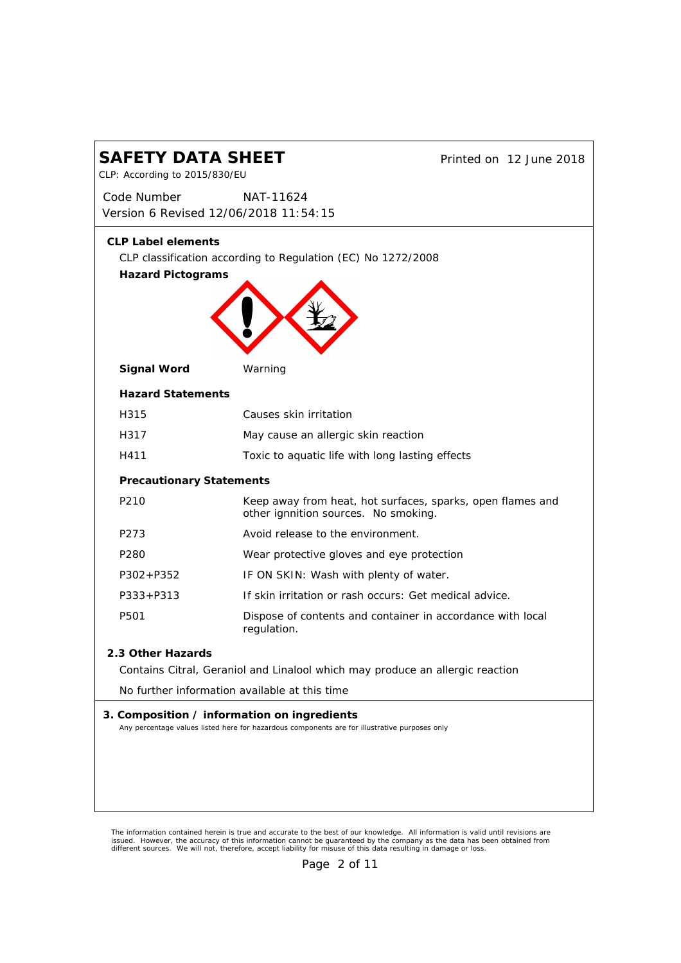| SAFETY DATA SHEET<br>Printed on 12 June 2018<br>CLP: According to 2015/830/EU |                                                                                                                                              |  |
|-------------------------------------------------------------------------------|----------------------------------------------------------------------------------------------------------------------------------------------|--|
| Code Number<br>Version 6 Revised 12/06/2018 11:54:15                          | NAT-11624                                                                                                                                    |  |
| <b>CLP Label elements</b><br>Hazard Pictograms                                | CLP classification according to Regulation (EC) No 1272/2008                                                                                 |  |
| Signal Word                                                                   | Warning                                                                                                                                      |  |
| <b>Hazard Statements</b>                                                      |                                                                                                                                              |  |
| H315                                                                          | Causes skin irritation                                                                                                                       |  |
| H317                                                                          | May cause an allergic skin reaction                                                                                                          |  |
| H411                                                                          | Toxic to aquatic life with long lasting effects                                                                                              |  |
| <b>Precautionary Statements</b>                                               |                                                                                                                                              |  |
| P210                                                                          | Keep away from heat, hot surfaces, sparks, open flames and<br>other ignnition sources. No smoking.                                           |  |
| P273                                                                          | Avoid release to the environment.                                                                                                            |  |
| P <sub>280</sub>                                                              | Wear protective gloves and eye protection                                                                                                    |  |
| $P302 + P352$                                                                 | IF ON SKIN: Wash with plenty of water.                                                                                                       |  |
| $P333 + P313$                                                                 | If skin irritation or rash occurs: Get medical advice.                                                                                       |  |
| P501                                                                          | Dispose of contents and container in accordance with local<br>regulation.                                                                    |  |
| 2.3 Other Hazards                                                             | Contains Citral, Geraniol and Linalool which may produce an allergic reaction                                                                |  |
|                                                                               | No further information available at this time                                                                                                |  |
|                                                                               | 3. Composition / information on ingredients<br>Any percentage values listed here for hazardous components are for illustrative purposes only |  |
|                                                                               |                                                                                                                                              |  |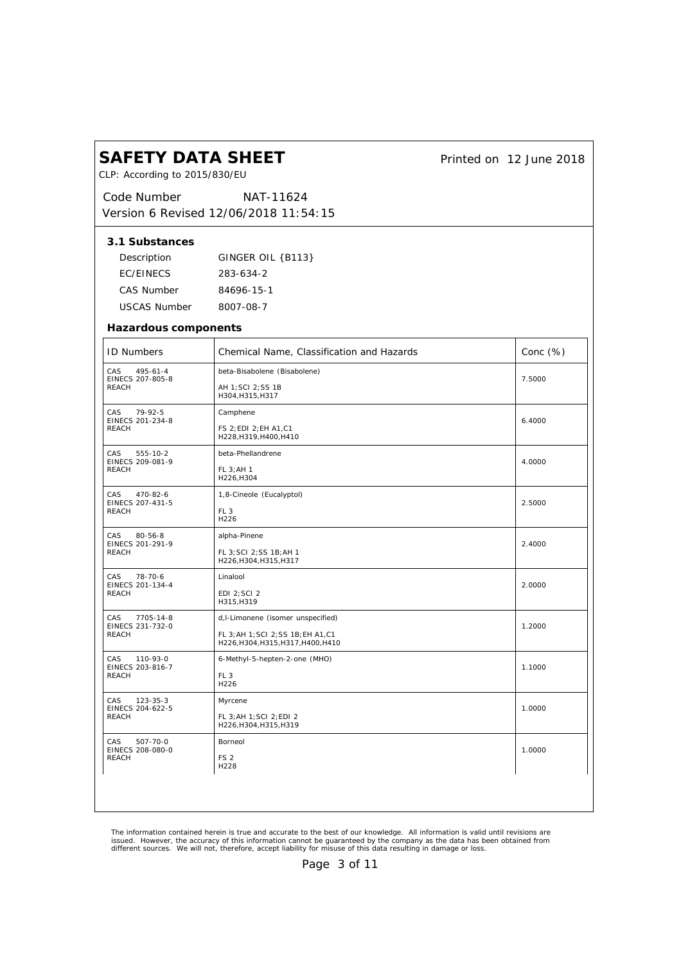| <b>SAFETY DATA SHEET</b><br>CLP: According to 2015/830/EU |                                                                           | Printed on 12 June 2018 |
|-----------------------------------------------------------|---------------------------------------------------------------------------|-------------------------|
| Code Number                                               | NAT-11624<br>Version 6 Revised 12/06/2018 11:54:15                        |                         |
| 3.1 Substances                                            |                                                                           |                         |
| Description                                               | GINGER OIL {B113}                                                         |                         |
| <b>EC/EINECS</b>                                          | 283-634-2                                                                 |                         |
| CAS Number                                                | 84696-15-1                                                                |                         |
| USCAS Number                                              | 8007-08-7                                                                 |                         |
| Hazardous components                                      |                                                                           |                         |
| <b>ID Numbers</b>                                         | Chemical Name, Classification and Hazards                                 | Conc (%)                |
| CAS<br>$495 - 61 - 4$                                     | beta-Bisabolene (Bisabolene)                                              |                         |
| EINECS 207-805-8<br>REACH                                 | AH 1; SCI 2; SS 1B<br>H304, H315, H317                                    | 7.5000                  |
| CAS<br>$79-92-5$                                          | Camphene                                                                  |                         |
| EINECS 201-234-8<br><b>REACH</b>                          | FS 2; EDI 2; EH A1, C1<br>H228, H319, H400, H410                          | 6.4000                  |
| CAS<br>555-10-2                                           | beta-Phellandrene                                                         |                         |
| EINECS 209-081-9<br>REACH                                 | FL 3; AH 1<br>H226, H304                                                  | 4.0000                  |
| CAS<br>470-82-6                                           | 1,8-Cineole (Eucalyptol)                                                  |                         |
| EINECS 207-431-5<br>REACH                                 | FL <sub>3</sub><br>H226                                                   | 2.5000                  |
| CAS<br>$80 - 56 - 8$                                      | alpha-Pinene                                                              |                         |
| EINECS 201-291-9<br>REACH                                 | FL 3; SCI 2; SS 1B; AH 1<br>H226, H304, H315, H317                        | 2.4000                  |
| CAS<br>78-70-6<br>EINECS 201-134-4                        | Linalool                                                                  | 2.0000                  |
| REACH                                                     | EDI 2; SCI 2<br>H315, H319                                                |                         |
| CAS<br>7705-14-8                                          | d, I-Limonene (isomer unspecified)                                        |                         |
| EINECS 231-732-0<br>REACH                                 | FL 3; AH 1; SCI 2; SS 1B; EH A1, C1<br>H226, H304, H315, H317, H400, H410 | 1.2000                  |
| CAS<br>110-93-0                                           | 6-Methyl-5-hepten-2-one (MHO)                                             |                         |
| EINECS 203-816-7<br><b>REACH</b>                          | FL <sub>3</sub><br>H226                                                   | 1.1000                  |
| CAS<br>123-35-3<br>EINECS 204-622-5                       | Myrcene                                                                   | 1.0000                  |
| REACH                                                     | FL 3; AH 1; SCI 2; EDI 2<br>H226, H304, H315, H319                        |                         |
| CAS<br>507-70-0                                           | Borneol                                                                   |                         |
| EINECS 208-080-0<br>REACH                                 | FS <sub>2</sub>                                                           | 1.0000                  |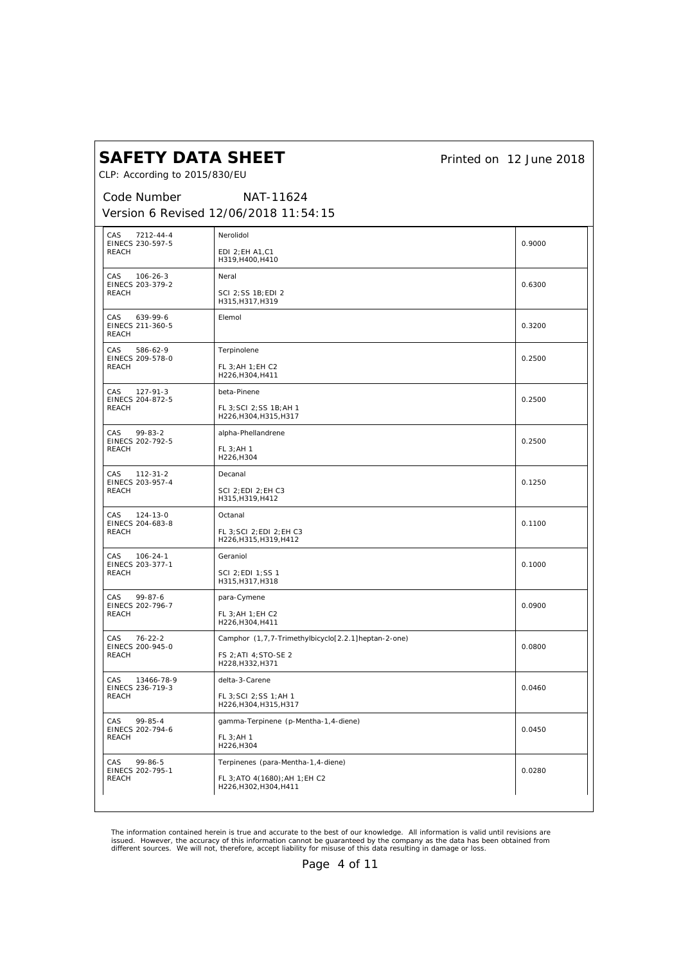*Printed on 12 June 2018*

CLP: According to 2015/830/EU

*Code Number Version 6 Revised 12/06/2018 11:54:15 NAT-11624*

| CAS<br>7212-44-4<br>EINECS 230-597-5             | Nerolidol                                                | 0.9000 |
|--------------------------------------------------|----------------------------------------------------------|--------|
| <b>REACH</b>                                     | EDI 2; EH A1, C1<br>H319, H400, H410                     |        |
| CAS<br>$106 - 26 - 3$<br>EINECS 203-379-2        | Neral                                                    | 0.6300 |
| <b>REACH</b>                                     | SCI 2; SS 1B; EDI 2<br>H315, H317, H319                  |        |
| CAS<br>639-99-6<br>EINECS 211-360-5<br>REACH     | Elemol                                                   | 0.3200 |
| CAS<br>586-62-9<br>EINECS 209-578-0              | Terpinolene                                              | 0.2500 |
| <b>REACH</b>                                     | FL 3; AH 1; EH C2<br>H226, H304, H411                    |        |
| CAS<br>127-91-3<br>EINECS 204-872-5              | beta-Pinene                                              | 0.2500 |
| <b>REACH</b>                                     | FL 3; SCI 2; SS 1B; AH 1<br>H226, H304, H315, H317       |        |
| CAS<br>$99 - 83 - 2$<br>EINECS 202-792-5         | alpha-Phellandrene                                       | 0.2500 |
| <b>REACH</b>                                     | FL 3; AH 1<br>H226, H304                                 |        |
| <b>CAS</b><br>$112 - 31 - 2$<br>EINECS 203-957-4 | Decanal                                                  | 0.1250 |
| REACH                                            | SCI 2; EDI 2; EH C3<br>H315, H319, H412                  |        |
| CAS<br>$124 - 13 - 0$<br>EINECS 204-683-8        | Octanal                                                  | 0.1100 |
| <b>REACH</b>                                     | FL 3; SCI 2; EDI 2; EH C3<br>H226, H315, H319, H412      |        |
| CAS<br>$106 - 24 - 1$<br>EINECS 203-377-1        | Geraniol                                                 | 0.1000 |
| <b>REACH</b>                                     | SCI 2; EDI 1; SS 1<br>H315, H317, H318                   |        |
| $99 - 87 - 6$<br>CAS.<br>EINECS 202-796-7        | para-Cymene                                              | 0.0900 |
| <b>REACH</b>                                     | FL 3; AH 1; EH C2<br>H226, H304, H411                    |        |
| CAS<br>$76 - 22 - 2$<br>EINECS 200-945-0         | Camphor (1,7,7-Trimethylbicyclo[2.2.1]heptan-2-one)      | 0.0800 |
| <b>REACH</b>                                     | FS 2; ATI 4; STO-SE 2<br>H228, H332, H371                |        |
| <b>CAS</b><br>13466-78-9<br>EINECS 236-719-3     | delta-3-Carene                                           | 0.0460 |
| <b>REACH</b>                                     | FL 3; SCI 2; SS 1; AH 1<br>H226, H304, H315, H317        |        |
| CAS<br>$99 - 85 - 4$<br>EINECS 202-794-6         | gamma-Terpinene (p-Mentha-1,4-diene)                     | 0.0450 |
| REACH                                            | FL 3; AH 1<br>H226, H304                                 |        |
| CAS<br>99-86-5<br>EINECS 202-795-1               | Terpinenes (para-Mentha-1,4-diene)                       | 0.0280 |
| <b>REACH</b>                                     | FL 3; ATO 4(1680); AH 1; EH C2<br>H226, H302, H304, H411 |        |
|                                                  |                                                          |        |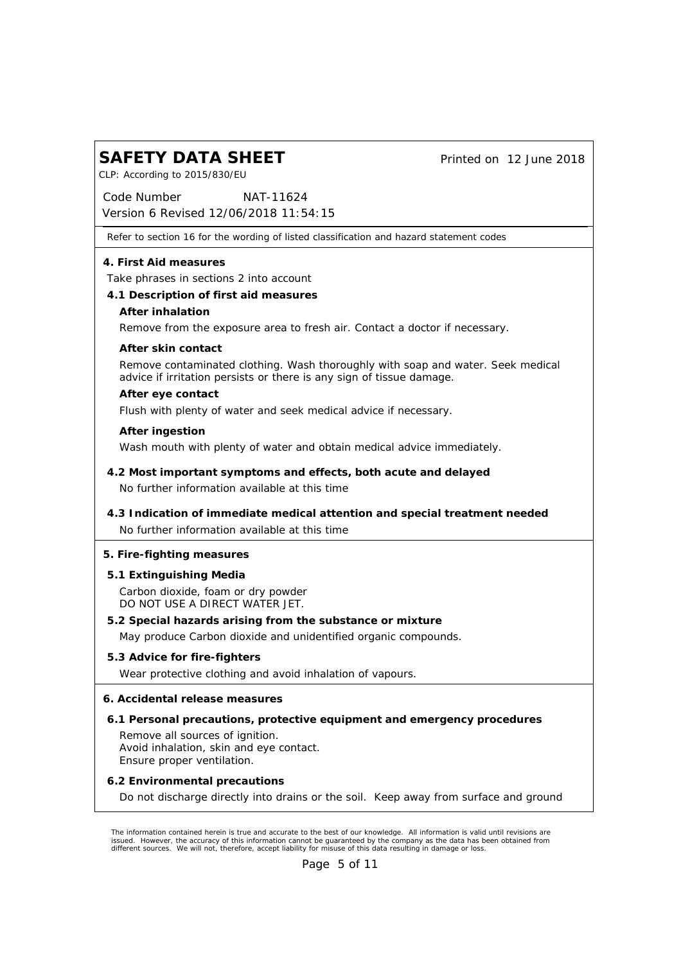| <b>SAFETY DATA SHEET</b> |  |
|--------------------------|--|
|                          |  |

CLP: According to 2015/830/EU

*Printed on 12 June 2018*

*Code Number Version 6 Revised 12/06/2018 11:54:15 NAT-11624*

Refer to section 16 for the wording of listed classification and hazard statement codes

**4. First Aid measures**

Take phrases in sections 2 into account

- **4.1 Description of first aid measures**
	- **After inhalation**

Remove from the exposure area to fresh air. Contact a doctor if necessary.

**After skin contact**

Remove contaminated clothing. Wash thoroughly with soap and water. Seek medical advice if irritation persists or there is any sign of tissue damage.

**After eye contact**

Flush with plenty of water and seek medical advice if necessary.

**After ingestion**

Wash mouth with plenty of water and obtain medical advice immediately.

- No further information available at this time **4.2 Most important symptoms and effects, both acute and delayed**
- No further information available at this time **4.3 Indication of immediate medical attention and special treatment needed**
- **5. Fire-fighting measures**
- **5.1 Extinguishing Media** Carbon dioxide, foam or dry powder DO NOT USE A DIRECT WATER JET.
- **5.2 Special hazards arising from the substance or mixture** May produce Carbon dioxide and unidentified organic compounds.
- **5.3 Advice for fire-fighters** Wear protective clothing and avoid inhalation of vapours.

**6. Accidental release measures**

- **6.1 Personal precautions, protective equipment and emergency procedures** Remove all sources of ignition. Avoid inhalation, skin and eye contact. Ensure proper ventilation.
- **6.2 Environmental precautions** Do not discharge directly into drains or the soil. Keep away from surface and ground

The information contained herein is true and accurate to the best of our knowledge. All information is valid until revisions are<br>issued. However, the accuracy of this information cannot be guaranteed by the company as the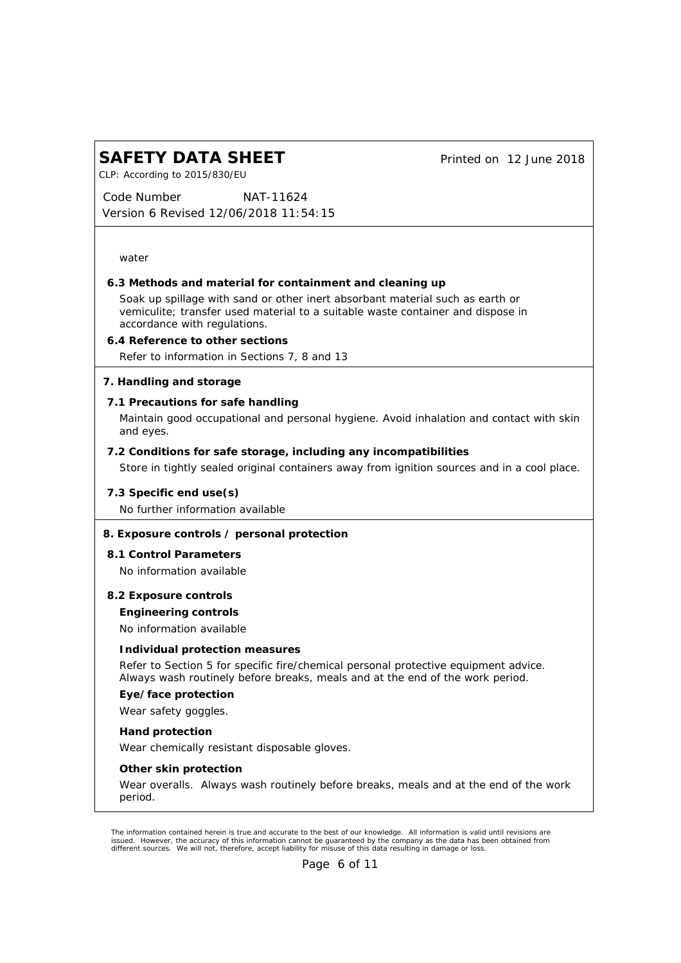*Printed on 12 June 2018*

CLP: According to 2015/830/EU

*Code Number Version 6 Revised 12/06/2018 11:54:15 NAT-11624*

water

**6.3 Methods and material for containment and cleaning up**

Soak up spillage with sand or other inert absorbant material such as earth or vemiculite; transfer used material to a suitable waste container and dispose in accordance with regulations.

**6.4 Reference to other sections** Refer to information in Sections 7, 8 and 13

**7. Handling and storage**

**7.1 Precautions for safe handling**

Maintain good occupational and personal hygiene. Avoid inhalation and contact with skin and eyes.

- **7.2 Conditions for safe storage, including any incompatibilities** Store in tightly sealed original containers away from ignition sources and in a cool place.
- **7.3 Specific end use(s)** No further information available

### **8. Exposure controls / personal protection**

**8.1 Control Parameters** No information available

**Engineering controls** No information available **8.2 Exposure controls**

#### **Individual protection measures**

Refer to Section 5 for specific fire/chemical personal protective equipment advice. Always wash routinely before breaks, meals and at the end of the work period.

**Eye/face protection**

Wear safety goggles.

**Hand protection**

Wear chemically resistant disposable gloves.

**Other skin protection**

Wear overalls. Always wash routinely before breaks, meals and at the end of the work period.

The information contained herein is true and accurate to the best of our knowledge. All information is valid until revisions are<br>issued. However, the accuracy of this information cannot be guaranteed by the company as the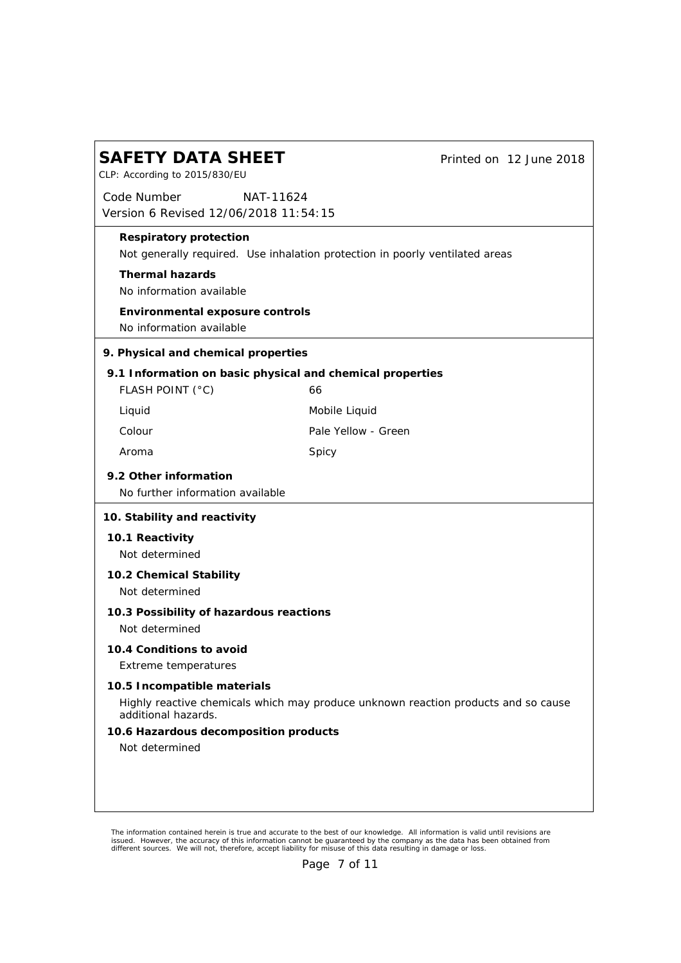| <b>SAFETY DATA SHEET</b><br>CLP: According to 2015/830/EU                                                 |                     | Printed on 12 June 2018 |
|-----------------------------------------------------------------------------------------------------------|---------------------|-------------------------|
| Code Number<br>NAT-11624<br>Version 6 Revised 12/06/2018 11:54:15                                         |                     |                         |
| Respiratory protection<br>Not generally required. Use inhalation protection in poorly ventilated areas    |                     |                         |
| Thermal hazards<br>No information available                                                               |                     |                         |
| Environmental exposure controls<br>No information available                                               |                     |                         |
| 9. Physical and chemical properties                                                                       |                     |                         |
| 9.1 Information on basic physical and chemical properties<br>FLASH POINT (°C)                             | 66                  |                         |
| Liquid                                                                                                    | Mobile Liquid       |                         |
| Colour                                                                                                    | Pale Yellow - Green |                         |
| Aroma                                                                                                     | Spicy               |                         |
| 9.2 Other information<br>No further information available                                                 |                     |                         |
| 10. Stability and reactivity                                                                              |                     |                         |
| 10.1 Reactivity<br>Not determined                                                                         |                     |                         |
| 10.2 Chemical Stability<br>Not determined                                                                 |                     |                         |
| 10.3 Possibility of hazardous reactions<br>Not determined                                                 |                     |                         |
| 10.4 Conditions to avoid<br>Extreme temperatures                                                          |                     |                         |
| 10.5 Incompatible materials                                                                               |                     |                         |
| Highly reactive chemicals which may produce unknown reaction products and so cause<br>additional hazards. |                     |                         |
| 10.6 Hazardous decomposition products<br>Not determined                                                   |                     |                         |
|                                                                                                           |                     |                         |
|                                                                                                           |                     |                         |

The information contained herein is true and accurate to the best of our knowledge. All information is valid until revisions are<br>issued. However, the accuracy of this information cannot be guaranteed by the company as the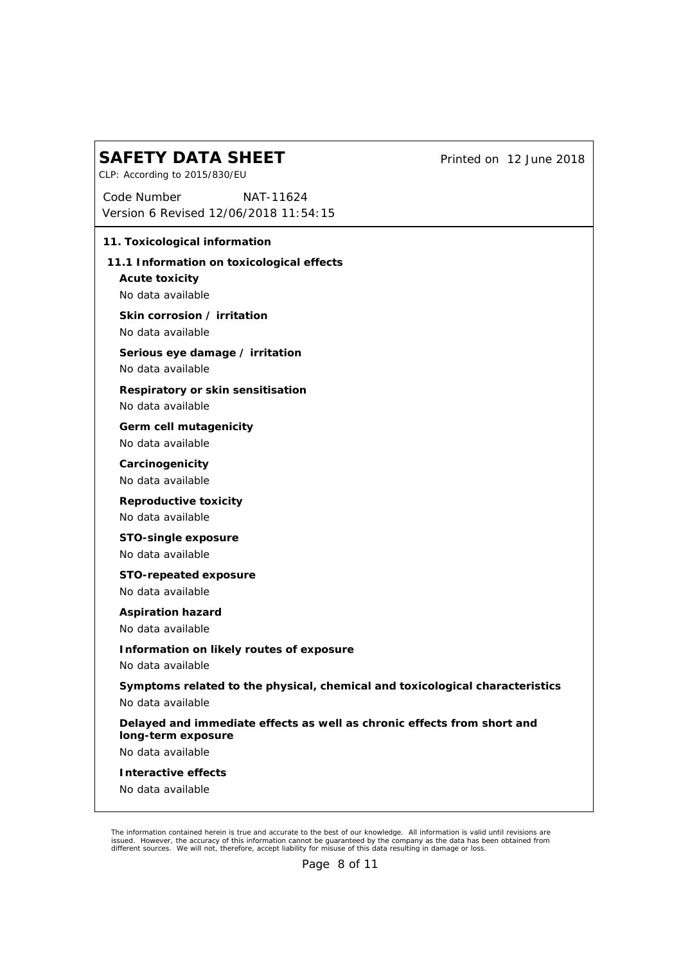*Printed on 12 June 2018*

CLP: According to 2015/830/EU

*Code Number Version 6 Revised 12/06/2018 11:54:15 NAT-11624*

| 11. Toxicological information                                                    |                                                                              |
|----------------------------------------------------------------------------------|------------------------------------------------------------------------------|
| 11.1 Information on toxicological effects<br>Acute toxicity<br>No data available |                                                                              |
| Skin corrosion / irritation<br>No data available                                 |                                                                              |
| Serious eye damage / irritation<br>No data available                             |                                                                              |
| Respiratory or skin sensitisation<br>No data available                           |                                                                              |
| Germ cell mutagenicity<br>No data available                                      |                                                                              |
| Carcinogenicity<br>No data available                                             |                                                                              |
| Reproductive toxicity<br>No data available                                       |                                                                              |
| STO-single exposure<br>No data available                                         |                                                                              |
| STO-repeated exposure<br>No data available                                       |                                                                              |
| Aspiration hazard<br>No data available                                           |                                                                              |
| Information on likely routes of exposure<br>No data available                    |                                                                              |
| No data available                                                                | Symptoms related to the physical, chemical and toxicological characteristics |
| long-term exposure                                                               | Delayed and immediate effects as well as chronic effects from short and      |
| No data available                                                                |                                                                              |
| Interactive effects                                                              |                                                                              |
| No data available                                                                |                                                                              |
|                                                                                  |                                                                              |

The information contained herein is true and accurate to the best of our knowledge. All information is valid until revisions are<br>issued. However, the accuracy of this information cannot be guaranteed by the company as the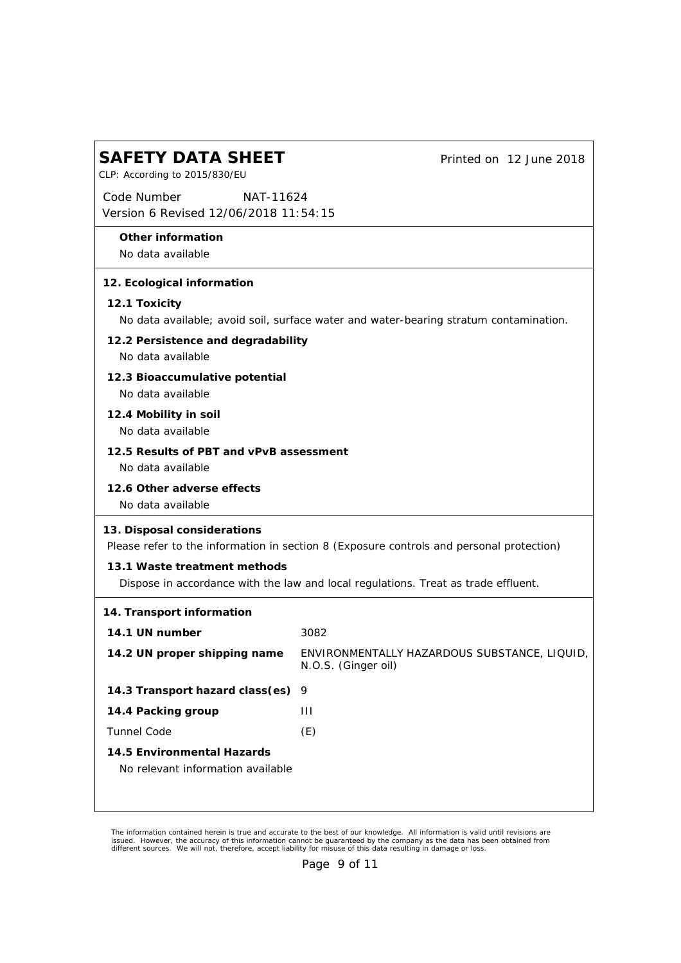| <b>SAFETY DATA SHEET</b><br>CLP: According to 2015/830/EU         | Printed on 12 June 2018                                                                  |
|-------------------------------------------------------------------|------------------------------------------------------------------------------------------|
| Code Number<br>NAT-11624<br>Version 6 Revised 12/06/2018 11:54:15 |                                                                                          |
| Other information<br>No data available                            |                                                                                          |
| 12. Ecological information                                        |                                                                                          |
| 12.1 Toxicity                                                     | No data available; avoid soil, surface water and water-bearing stratum contamination.    |
| 12.2 Persistence and degradability<br>No data available           |                                                                                          |
| 12.3 Bioaccumulative potential<br>No data available               |                                                                                          |
| 12.4 Mobility in soil<br>No data available                        |                                                                                          |
| 12.5 Results of PBT and vPvB assessment<br>No data available      |                                                                                          |
| 12.6 Other adverse effects<br>No data available                   |                                                                                          |
| 13. Disposal considerations                                       | Please refer to the information in section 8 (Exposure controls and personal protection) |
| 13.1 Waste treatment methods                                      | Dispose in accordance with the law and local regulations. Treat as trade effluent.       |
| 14. Transport information                                         |                                                                                          |
| 14.1 UN number                                                    | 3082                                                                                     |
| 14.2 UN proper shipping name                                      | ENVIRONMENTALLY HAZARDOUS SUBSTANCE, LIQUID,<br>N.O.S. (Ginger oil)                      |
| 14.3 Transport hazard class(es)                                   | 9                                                                                        |
| 14.4 Packing group                                                | $\mathbf{H}$                                                                             |
| Tunnel Code                                                       | (E)                                                                                      |
| 14.5 Environmental Hazards<br>No relevant information available   |                                                                                          |

The information contained herein is true and accurate to the best of our knowledge. All information is valid until revisions are<br>issued. However, the accuracy of this information cannot be guaranteed by the company as the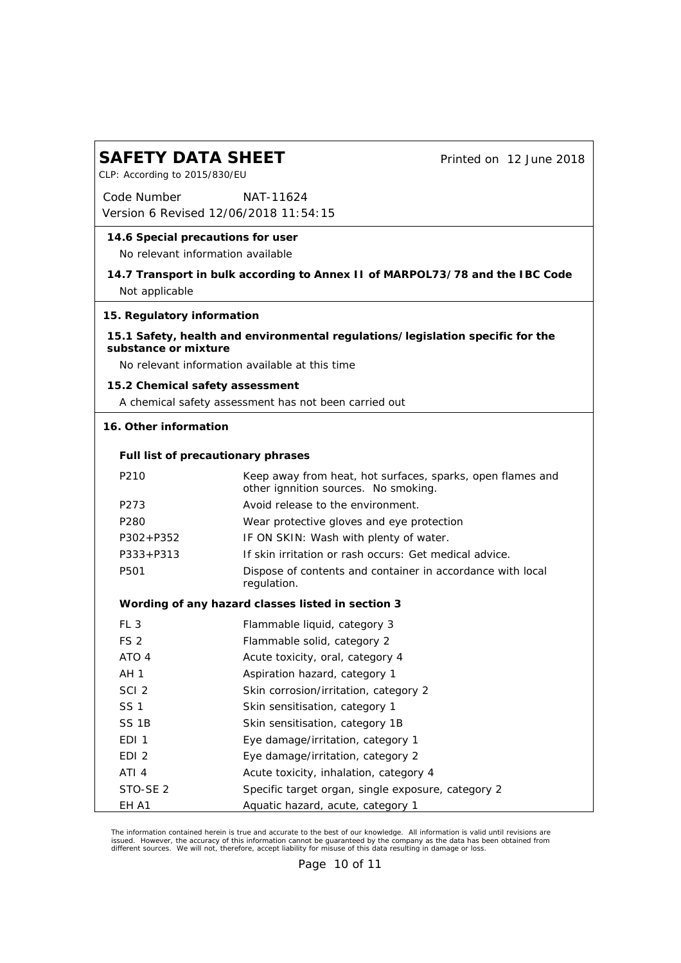| <b>SAFETY DATA SHEET</b><br>CLP: According to 2015/830/EU              |                                                       |                                                                                | Printed on 12 June 2018 |
|------------------------------------------------------------------------|-------------------------------------------------------|--------------------------------------------------------------------------------|-------------------------|
| Code Number                                                            | NAT-11624<br>Version 6 Revised 12/06/2018 11:54:15    |                                                                                |                         |
| 14.6 Special precautions for user<br>No relevant information available |                                                       |                                                                                |                         |
| Not applicable                                                         |                                                       | 14.7 Transport in bulk according to Annex II of MARPOL73/78 and the IBC Code   |                         |
| 15. Regulatory information                                             |                                                       |                                                                                |                         |
| substance or mixture                                                   | No relevant information available at this time        | 15.1 Safety, health and environmental regulations/legislation specific for the |                         |
| 15.2 Chemical safety assessment                                        |                                                       |                                                                                |                         |
|                                                                        | A chemical safety assessment has not been carried out |                                                                                |                         |
| 16. Other information                                                  |                                                       |                                                                                |                         |
|                                                                        |                                                       |                                                                                |                         |
|                                                                        | Full list of precautionary phrases                    |                                                                                |                         |
| P210                                                                   | other ignnition sources. No smoking.                  | Keep away from heat, hot surfaces, sparks, open flames and                     |                         |
| P273                                                                   | Avoid release to the environment.                     |                                                                                |                         |
| P <sub>280</sub>                                                       |                                                       | Wear protective gloves and eye protection                                      |                         |
| $P302 + P352$                                                          | IF ON SKIN: Wash with plenty of water.                |                                                                                |                         |
| $P333 + P313$                                                          |                                                       | If skin irritation or rash occurs: Get medical advice.                         |                         |
| P501                                                                   | regulation.                                           | Dispose of contents and container in accordance with local                     |                         |
|                                                                        | Wording of any hazard classes listed in section 3     |                                                                                |                         |
| FL <sub>3</sub>                                                        | Flammable liquid, category 3                          |                                                                                |                         |
| FS <sub>2</sub>                                                        | Flammable solid, category 2                           |                                                                                |                         |
| ATO 4                                                                  | Acute toxicity, oral, category 4                      |                                                                                |                         |
| AH 1                                                                   | Aspiration hazard, category 1                         |                                                                                |                         |
| SCI <sub>2</sub>                                                       | Skin corrosion/irritation, category 2                 |                                                                                |                         |
| <b>SS1</b>                                                             | Skin sensitisation, category 1                        |                                                                                |                         |
| SS <sub>1B</sub>                                                       | Skin sensitisation, category 1B                       |                                                                                |                         |
| EDI <sub>1</sub>                                                       | Eye damage/irritation, category 1                     |                                                                                |                         |
| EDI <sub>2</sub>                                                       | Eye damage/irritation, category 2                     |                                                                                |                         |
| ATI 4                                                                  | Acute toxicity, inhalation, category 4                |                                                                                |                         |
| STO-SE <sub>2</sub>                                                    |                                                       | Specific target organ, single exposure, category 2                             |                         |
| EH A1                                                                  | Aquatic hazard, acute, category 1                     |                                                                                |                         |